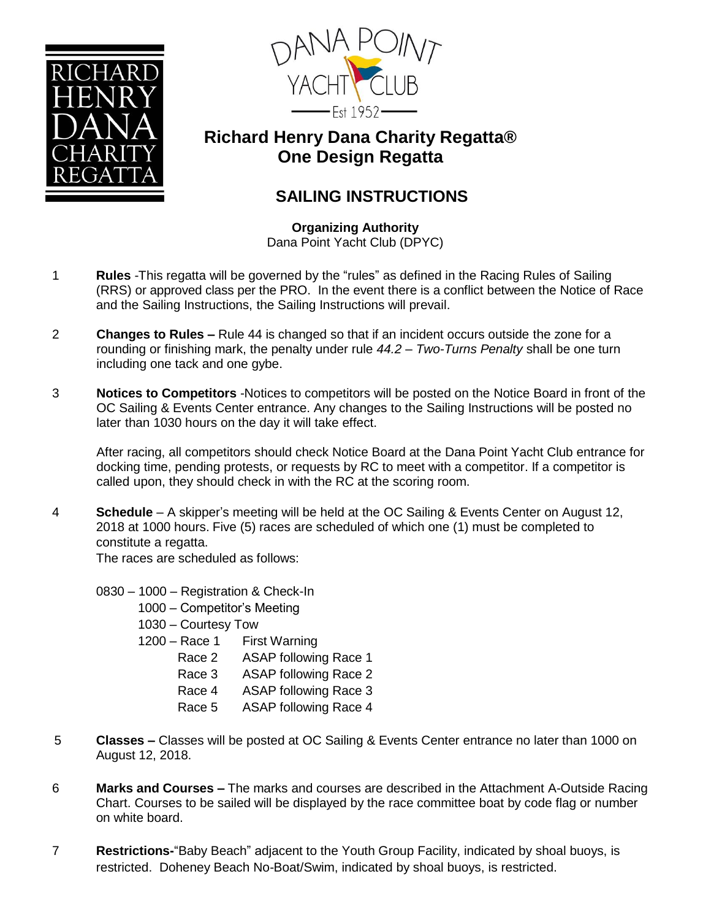



## **Richard Henry Dana Charity Regatta® One Design Regatta**

## **SAILING INSTRUCTIONS**

**Organizing Authority** Dana Point Yacht Club (DPYC)

- 1 **Rules** -This regatta will be governed by the "rules" as defined in the Racing Rules of Sailing (RRS) or approved class per the PRO. In the event there is a conflict between the Notice of Race and the Sailing Instructions, the Sailing Instructions will prevail.
- 2 **Changes to Rules –** Rule 44 is changed so that if an incident occurs outside the zone for a rounding or finishing mark, the penalty under rule *44.2 – Two-Turns Penalty* shall be one turn including one tack and one gybe.
- 3 **Notices to Competitors** -Notices to competitors will be posted on the Notice Board in front of the OC Sailing & Events Center entrance. Any changes to the Sailing Instructions will be posted no later than 1030 hours on the day it will take effect.

After racing, all competitors should check Notice Board at the Dana Point Yacht Club entrance for docking time, pending protests, or requests by RC to meet with a competitor. If a competitor is called upon, they should check in with the RC at the scoring room.

4 **Schedule** – A skipper's meeting will be held at the OC Sailing & Events Center on August 12, 2018 at 1000 hours. Five (5) races are scheduled of which one (1) must be completed to constitute a regatta.

The races are scheduled as follows:

- 0830 1000 Registration & Check-In
	- 1000 Competitor's Meeting
	- 1030 Courtesy Tow
	- 1200 Race 1 First Warning
		- Race 2 ASAP following Race 1
		- Race 3 ASAP following Race 2
		- Race 4 ASAP following Race 3
		- Race 5 ASAP following Race 4
- 5 **Classes –** Classes will be posted at OC Sailing & Events Center entrance no later than 1000 on August 12, 2018.
- 6 **Marks and Courses –** The marks and courses are described in the Attachment A-Outside Racing Chart. Courses to be sailed will be displayed by the race committee boat by code flag or number on white board.
- 7 **Restrictions-**"Baby Beach" adjacent to the Youth Group Facility, indicated by shoal buoys, is restricted. Doheney Beach No-Boat/Swim, indicated by shoal buoys, is restricted.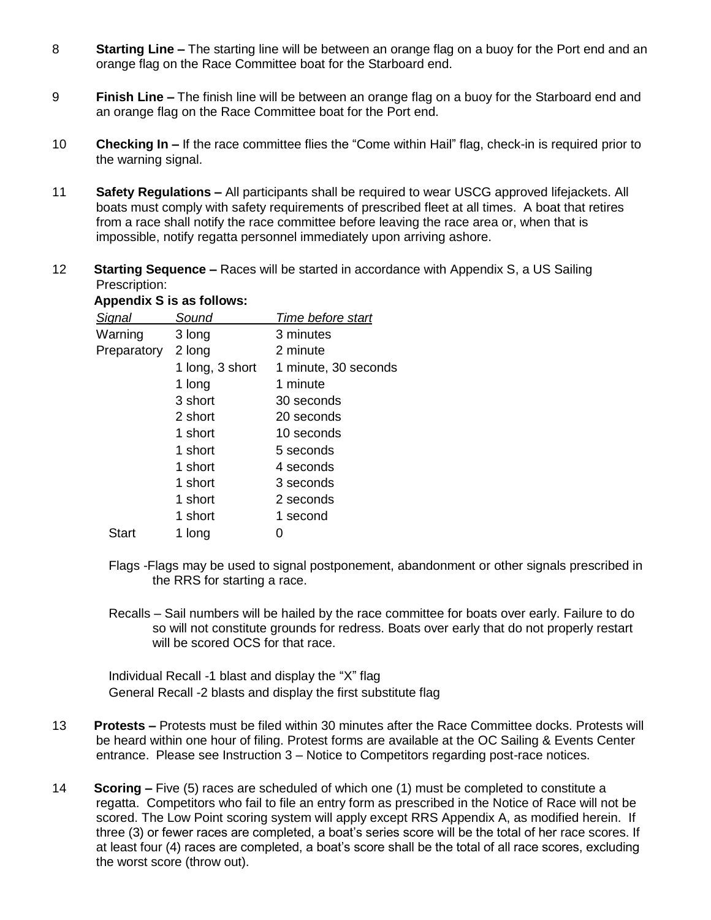- 8 **Starting Line –** The starting line will be between an orange flag on a buoy for the Port end and an orange flag on the Race Committee boat for the Starboard end.
- 9 **Finish Line –** The finish line will be between an orange flag on a buoy for the Starboard end and an orange flag on the Race Committee boat for the Port end.
- 10 **Checking In –** If the race committee flies the "Come within Hail" flag, check-in is required prior to the warning signal.
- 11 **Safety Regulations –** All participants shall be required to wear USCG approved lifejackets. All boats must comply with safety requirements of prescribed fleet at all times. A boat that retires from a race shall notify the race committee before leaving the race area or, when that is impossible, notify regatta personnel immediately upon arriving ashore.
- 12 **Starting Sequence –** Races will be started in accordance with Appendix S, a US Sailing Prescription:

## **Appendix S is as follows:**

| S <u>ignal</u> | Sound           | Time before start    |
|----------------|-----------------|----------------------|
| Warning        | 3 long          | 3 minutes            |
| Preparatory    | 2 long          | 2 minute             |
|                | 1 long, 3 short | 1 minute, 30 seconds |
|                | 1 long          | 1 minute             |
|                | 3 short         | 30 seconds           |
|                | 2 short         | 20 seconds           |
|                | 1 short         | 10 seconds           |
|                | 1 short         | 5 seconds            |
|                | 1 short         | 4 seconds            |
|                | 1 short         | 3 seconds            |
|                | 1 short         | 2 seconds            |
|                | 1 short         | 1 second             |
| Start          | 1 long          |                      |

- Flags -Flags may be used to signal postponement, abandonment or other signals prescribed in the RRS for starting a race.
- Recalls Sail numbers will be hailed by the race committee for boats over early. Failure to do so will not constitute grounds for redress. Boats over early that do not properly restart will be scored OCS for that race.

Individual Recall -1 blast and display the "X" flag General Recall -2 blasts and display the first substitute flag

- 13 **Protests –** Protests must be filed within 30 minutes after the Race Committee docks. Protests will be heard within one hour of filing. Protest forms are available at the OC Sailing & Events Center entrance. Please see Instruction 3 – Notice to Competitors regarding post-race notices.
- 14 **Scoring –** Five (5) races are scheduled of which one (1) must be completed to constitute a regatta. Competitors who fail to file an entry form as prescribed in the Notice of Race will not be scored. The Low Point scoring system will apply except RRS Appendix A, as modified herein. If three (3) or fewer races are completed, a boat's series score will be the total of her race scores. If at least four (4) races are completed, a boat's score shall be the total of all race scores, excluding the worst score (throw out).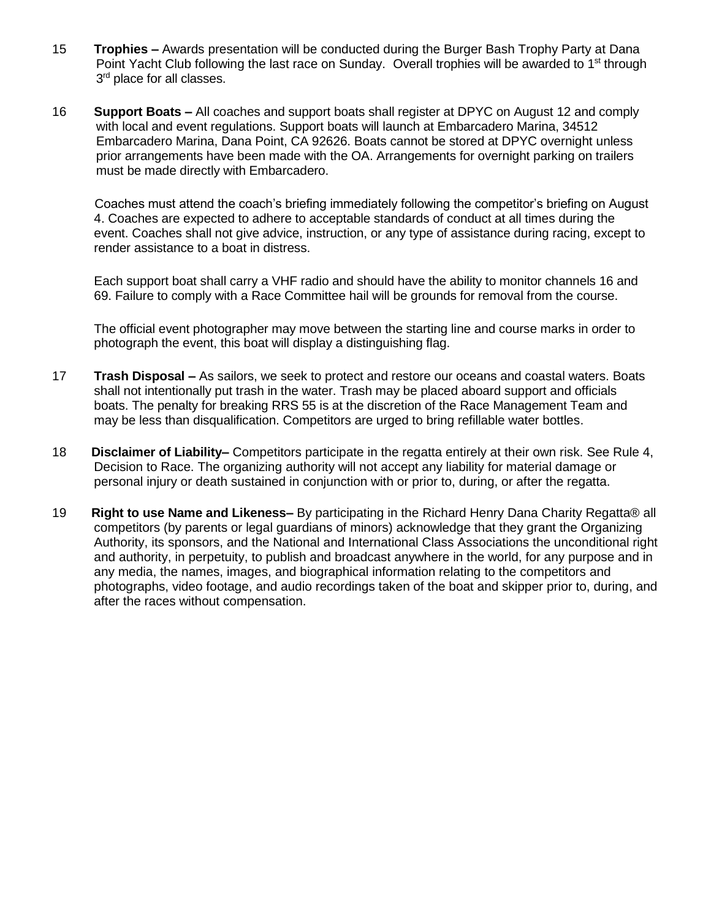- 15 **Trophies –** Awards presentation will be conducted during the Burger Bash Trophy Party at Dana Point Yacht Club following the last race on Sunday. Overall trophies will be awarded to 1<sup>st</sup> through 3<sup>rd</sup> place for all classes.
- 16 **Support Boats –** All coaches and support boats shall register at DPYC on August 12 and comply with local and event regulations. Support boats will launch at Embarcadero Marina, 34512 Embarcadero Marina, Dana Point, CA 92626. Boats cannot be stored at DPYC overnight unless prior arrangements have been made with the OA. Arrangements for overnight parking on trailers must be made directly with Embarcadero.

Coaches must attend the coach's briefing immediately following the competitor's briefing on August 4. Coaches are expected to adhere to acceptable standards of conduct at all times during the event. Coaches shall not give advice, instruction, or any type of assistance during racing, except to render assistance to a boat in distress.

Each support boat shall carry a VHF radio and should have the ability to monitor channels 16 and 69. Failure to comply with a Race Committee hail will be grounds for removal from the course.

The official event photographer may move between the starting line and course marks in order to photograph the event, this boat will display a distinguishing flag.

- 17 **Trash Disposal –** As sailors, we seek to protect and restore our oceans and coastal waters. Boats shall not intentionally put trash in the water. Trash may be placed aboard support and officials boats. The penalty for breaking RRS 55 is at the discretion of the Race Management Team and may be less than disqualification. Competitors are urged to bring refillable water bottles.
- 18 **Disclaimer of Liability–** Competitors participate in the regatta entirely at their own risk. See Rule 4, Decision to Race. The organizing authority will not accept any liability for material damage or personal injury or death sustained in conjunction with or prior to, during, or after the regatta.
- 19 **Right to use Name and Likeness–** By participating in the Richard Henry Dana Charity Regatta® all competitors (by parents or legal guardians of minors) acknowledge that they grant the Organizing Authority, its sponsors, and the National and International Class Associations the unconditional right and authority, in perpetuity, to publish and broadcast anywhere in the world, for any purpose and in any media, the names, images, and biographical information relating to the competitors and photographs, video footage, and audio recordings taken of the boat and skipper prior to, during, and after the races without compensation.